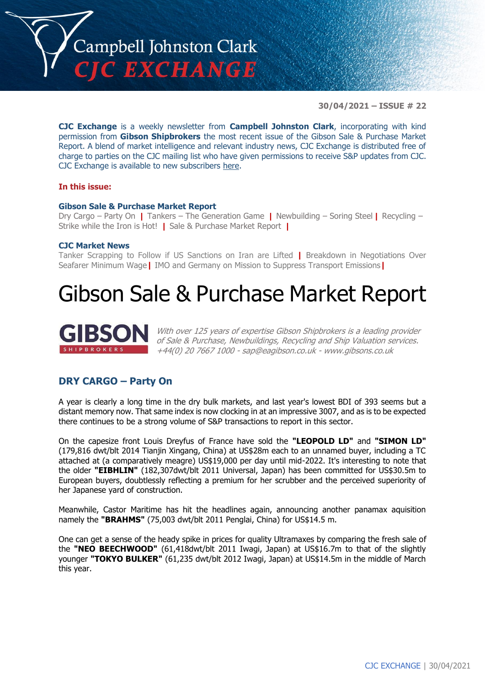

**30/04/2021 – ISSUE # 22**

**CJC Exchange** is a weekly newsletter from **Campbell Johnston Clark**, incorporating with kind permission from **Gibson Shipbrokers** the most recent issue of the Gibson Sale & Purchase Market Report. A blend of market intelligence and relevant industry news, CJC Exchange is distributed free of charge to parties on the CJC mailing list who have given permissions to receive S&P updates from CJC. CJC Exchange is available to new subscribers [here.](mailto:jamesc@cjclaw.com?subject=CJC%20Exchange%20sign-up)

#### **In this issue:**

#### **Gibson Sale & Purchase Market Report**

Dry Cargo – Party On **|** Tankers – The Generation Game **|** Newbuilding – Soring Steel **|** Recycling – Strike while the Iron is Hot! **|** Sale & Purchase Market Report **|**

#### **CJC Market News**

Tanker Scrapping to Follow if US Sanctions on Iran are Lifted **|** Breakdown in Negotiations Over Seafarer Minimum Wage**|** IMO and Germany on Mission to Suppress Transport Emissions**|**

## Gibson Sale & Purchase Market Report



With over 125 years of expertise Gibson Shipbrokers is a leading provider of Sale & Purchase, Newbuildings, Recycling and Ship Valuation services. +44(0) 20 7667 1000 - [sap@eagibson.co.uk](mailto:sap@eagibson.co.uk) - [www.gibsons.co.uk](https://protect-eu.mimecast.com/s/VO6nCGZzRS60KqcK1jQh/)

### **DRY CARGO – Party On**

A year is clearly a long time in the dry bulk markets, and last year's lowest BDI of 393 seems but a distant memory now. That same index is now clocking in at an impressive 3007, and as is to be expected there continues to be a strong volume of S&P transactions to report in this sector.

On the capesize front Louis Dreyfus of France have sold the **"LEOPOLD LD"** and **"SIMON LD"** (179,816 dwt/blt 2014 Tianjin Xingang, China) at US\$28m each to an unnamed buyer, including a TC attached at (a comparatively meagre) US\$19,000 per day until mid-2022. It's interesting to note that the older **"EIBHLIN"** (182,307dwt/blt 2011 Universal, Japan) has been committed for US\$30.5m to European buyers, doubtlessly reflecting a premium for her scrubber and the perceived superiority of her Japanese yard of construction.

Meanwhile, Castor Maritime has hit the headlines again, announcing another panamax aquisition namely the **"BRAHMS"** (75,003 dwt/blt 2011 Penglai, China) for US\$14.5 m.

One can get a sense of the heady spike in prices for quality Ultramaxes by comparing the fresh sale of the **"NEO BEECHWOOD"** (61,418dwt/blt 2011 Iwagi, Japan) at US\$16.7m to that of the slightly younger **"TOKYO BULKER"** (61,235 dwt/blt 2012 Iwagi, Japan) at US\$14.5m in the middle of March this year.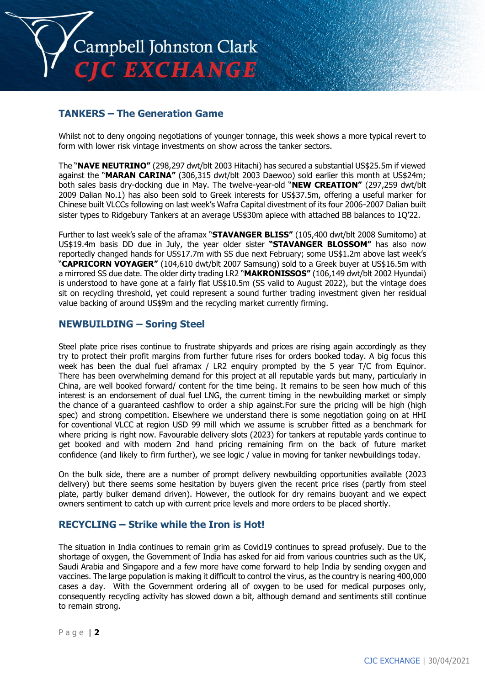

## **TANKERS – The Generation Game**

Whilst not to deny ongoing negotiations of younger tonnage, this week shows a more typical revert to form with lower risk vintage investments on show across the tanker sectors.

The "**NAVE NEUTRINO"** (298,297 dwt/blt 2003 Hitachi) has secured a substantial US\$25.5m if viewed against the "**MARAN CARINA"** (306,315 dwt/blt 2003 Daewoo) sold earlier this month at US\$24m; both sales basis dry-docking due in May. The twelve-year-old "**NEW CREATION"** (297,259 dwt/blt 2009 Dalian No.1) has also been sold to Greek interests for US\$37.5m, offering a useful marker for Chinese built VLCCs following on last week's Wafra Capital divestment of its four 2006-2007 Dalian built sister types to Ridgebury Tankers at an average US\$30m apiece with attached BB balances to 1Q'22.

Further to last week's sale of the aframax "**STAVANGER BLISS"** (105,400 dwt/blt 2008 Sumitomo) at US\$19.4m basis DD due in July, the year older sister **"STAVANGER BLOSSOM"** has also now reportedly changed hands for US\$17.7m with SS due next February; some US\$1.2m above last week's "**CAPRICORN VOYAGER"** (104,610 dwt/blt 2007 Samsung) sold to a Greek buyer at US\$16.5m with a mirrored SS due date. The older dirty trading LR2 "**MAKRONISSOS"** (106,149 dwt/blt 2002 Hyundai) is understood to have gone at a fairly flat US\$10.5m (SS valid to August 2022), but the vintage does sit on recycling threshold, yet could represent a sound further trading investment given her residual value backing of around US\$9m and the recycling market currently firming.

#### **NEWBUILDING – Soring Steel**

Steel plate price rises continue to frustrate shipyards and prices are rising again accordingly as they try to protect their profit margins from further future rises for orders booked today. A big focus this week has been the dual fuel aframax / LR2 enquiry prompted by the 5 year T/C from Equinor. There has been overwhelming demand for this project at all reputable yards but many, particularly in China, are well booked forward/ content for the time being. It remains to be seen how much of this interest is an endorsement of dual fuel LNG, the current timing in the newbuilding market or simply the chance of a guaranteed cashflow to order a ship against.For sure the pricing will be high (high spec) and strong competition. Elsewhere we understand there is some negotiation going on at HHI for coventional VLCC at region USD 99 mill which we assume is scrubber fitted as a benchmark for where pricing is right now. Favourable delivery slots (2023) for tankers at reputable yards continue to get booked and with modern 2nd hand pricing remaining firm on the back of future market confidence (and likely to firm further), we see logic / value in moving for tanker newbuildings today.

On the bulk side, there are a number of prompt delivery newbuilding opportunities available (2023 delivery) but there seems some hesitation by buyers given the recent price rises (partly from steel plate, partly bulker demand driven). However, the outlook for dry remains buoyant and we expect owners sentiment to catch up with current price levels and more orders to be placed shortly.

### **RECYCLING – Strike while the Iron is Hot!**

The situation in India continues to remain grim as Covid19 continues to spread profusely. Due to the shortage of oxygen, the Government of India has asked for aid from various countries such as the UK, Saudi Arabia and Singapore and a few more have come forward to help India by sending oxygen and vaccines. The large population is making it difficult to control the virus, as the country is nearing 400,000 cases a day. With the Government ordering all of oxygen to be used for medical purposes only, consequently recycling activity has slowed down a bit, although demand and sentiments still continue to remain strong.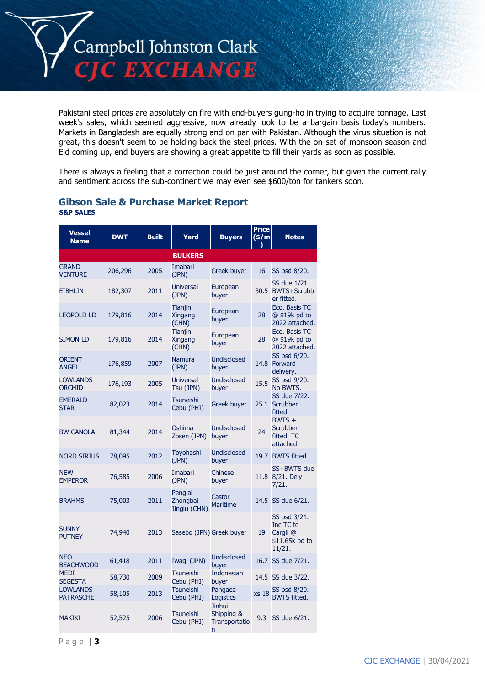

Pakistani steel prices are absolutely on fire with end-buyers gung-ho in trying to acquire tonnage. Last week's sales, which seemed aggressive, now already look to be a bargain basis today's numbers. Markets in Bangladesh are equally strong and on par with Pakistan. Although the virus situation is not great, this doesn't seem to be holding back the steel prices. With the on-set of monsoon season and Eid coming up, end buyers are showing a great appetite to fill their yards as soon as possible.

There is always a feeling that a correction could be just around the corner, but given the current rally and sentiment across the sub-continent we may even see \$600/ton for tankers soon.

| <b>Vessel</b><br><b>Name</b>        | <b>DWT</b> | <b>Built</b> | Yard                                      | <b>Buyers</b>                                     | <b>Price</b><br>(\$/m | <b>Notes</b>                                                      |
|-------------------------------------|------------|--------------|-------------------------------------------|---------------------------------------------------|-----------------------|-------------------------------------------------------------------|
|                                     |            |              | <b>BULKERS</b>                            |                                                   |                       |                                                                   |
| <b>GRAND</b><br><b>VENTURE</b>      | 206,296    | 2005         | Imabari<br>(JPN)                          | <b>Greek buyer</b>                                | 16                    | SS psd 8/20.                                                      |
| <b>EIBHLIN</b>                      | 182,307    | 2011         | <b>Universal</b><br>(JPN)                 | European<br>buyer                                 |                       | SS due 1/21.<br>30.5 BWTS+Scrubb<br>er fitted.                    |
| <b>LEOPOLD LD</b>                   | 179,816    | 2014         | <b>Tianjin</b><br><b>Xingang</b><br>(CHN) | European<br>buyer                                 | 28                    | Eco. Basis TC<br>@ \$19k pd to<br>2022 attached.                  |
| <b>SIMON LD</b>                     | 179,816    | 2014         | <b>Tianjin</b><br><b>Xingang</b><br>(CHN) | European<br>buyer                                 | 28                    | Eco. Basis TC<br>@ \$19k pd to<br>2022 attached.                  |
| <b>ORIENT</b><br><b>ANGEL</b>       | 176,859    | 2007         | <b>Namura</b><br>(JPN)                    | <b>Undisclosed</b><br>buyer                       |                       | SS psd 6/20.<br>14.8 Forward<br>deliverv.                         |
| <b>LOWLANDS</b><br><b>ORCHID</b>    | 176,193    | 2005         | <b>Universal</b><br>Tsu (JPN)             | <b>Undisclosed</b><br>buyer                       | 15.5                  | SS psd 9/20.<br>No BWTS.                                          |
| <b>EMERALD</b><br><b>STAR</b>       | 82,023     | 2014         | <b>Tsuneishi</b><br>Cebu (PHI)            | <b>Greek buyer</b>                                |                       | SS due 7/22.<br>25.1 Scrubber<br>fitted.                          |
| <b>BW CANOLA</b>                    | 81,344     | 2014         | Oshima<br>Zosen (JPN)                     | <b>Undisclosed</b><br>buyer                       | 24                    | $BWTS +$<br><b>Scrubber</b><br>fitted. TC<br>attached.            |
| <b>NORD SIRIUS</b>                  | 78,095     | 2012         | Toyohashi<br>(JPN)                        | <b>Undisclosed</b><br>buyer                       |                       | 19.7 BWTS fitted.                                                 |
| <b>NEW</b><br><b>EMPEROR</b>        | 76,585     | 2006         | Imabari<br>(JPN)                          | Chinese<br>buyer                                  |                       | SS+BWTS due<br>11.8 8/21. Dely<br>7/21.                           |
| <b>BRAHMS</b>                       | 75,003     | 2011         | Penglai<br>Zhongbai<br>Jinglu (CHN)       | Castor<br><b>Maritime</b>                         |                       | 14.5 SS due 6/21.                                                 |
| <b>SUNNY</b><br><b>PUTNEY</b>       | 74,940     | 2013         | Sasebo (JPN) Greek buyer                  |                                                   | 19                    | SS psd 3/21.<br>Inc TC to<br>Cargil @<br>\$11.65k pd to<br>11/21. |
| <b>NEO</b><br><b>BEACHWOOD</b>      | 61,418     | 2011         | Iwagi (JPN)                               | <b>Undisclosed</b><br>buver                       |                       | 16.7 SS due 7/21.                                                 |
| <b>MEDI</b><br><b>SEGESTA</b>       | 58,730     | 2009         | <b>Tsuneishi</b><br>Cebu (PHI)            | <b>Indonesian</b><br>buyer                        |                       | 14.5 SS due 3/22.                                                 |
| <b>LOWLANDS</b><br><b>PATRASCHE</b> | 58,105     | 2013         | <b>Tsuneishi</b><br>Cebu (PHI)            | Pangaea<br>Logistics                              | <b>xs 18</b>          | SS psd 8/20.<br><b>BWTS fitted.</b>                               |
| <b>MAKIKI</b>                       | 52,525     | 2006         | <b>Tsuneishi</b><br>Cebu (PHI)            | <b>Jinhui</b><br>Shipping &<br>Transportatio<br>n | 9.3                   | SS due 6/21.                                                      |

#### **Gibson Sale & Purchase Market Report S&P SALES**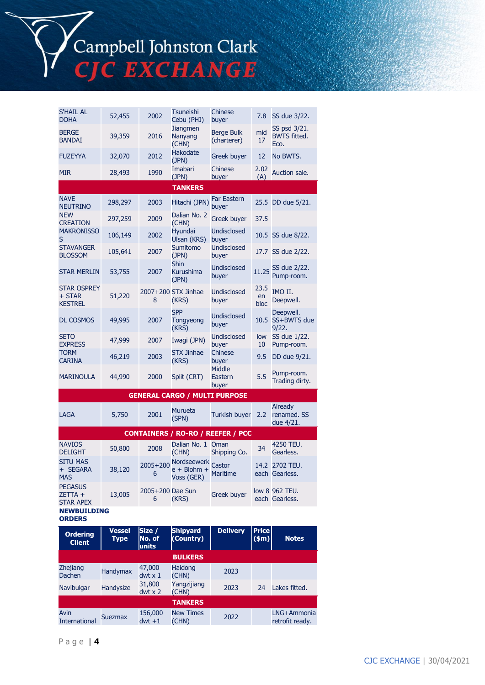Campbell Johnston Clark<br>CJC EXCHANGE

| <b>S'HAIL AL</b><br><b>DOHA</b>                 | 52,455  | 2002                  | Tsuneishi<br>Cebu (PHI)                    | Chinese<br>buyer                         | 7.8                | SS due 3/22.                                |
|-------------------------------------------------|---------|-----------------------|--------------------------------------------|------------------------------------------|--------------------|---------------------------------------------|
| <b>BERGE</b><br><b>BANDAI</b>                   | 39,359  | 2016                  | <b>Jiangmen</b><br>Nanyang<br>(CHN)        | <b>Berge Bulk</b><br>(charterer)         | mid<br>17          | SS psd 3/21.<br><b>BWTS fitted.</b><br>Eco. |
| <b>FUZEYYA</b>                                  | 32,070  | 2012                  | <b>Hakodate</b><br>(JPN)                   | <b>Greek buyer</b>                       | 12                 | No BWTS.                                    |
| <b>MIR</b>                                      | 28,493  | 1990                  | Imabari<br>(JPN)                           | Chinese<br>buyer                         | 2.02<br>(A)        | Auction sale.                               |
|                                                 |         |                       | <b>TANKERS</b>                             |                                          |                    |                                             |
| <b>NAVE</b><br><b>NEUTRINO</b>                  | 298,297 | 2003                  | Hitachi (JPN)                              | <b>Far Eastern</b><br>buyer              |                    | 25.5 DD due 5/21.                           |
| <b>NEW</b><br><b>CREATION</b>                   | 297,259 | 2009                  | Dalian No. 2<br>(CHN)                      | <b>Greek buyer</b>                       | 37.5               |                                             |
| <b>MAKRONISSO</b><br>S                          | 106,149 | 2002                  | Hyundai<br>Ulsan (KRS)                     | Undisclosed<br>buyer                     |                    | 10.5 SS due 8/22.                           |
| <b>STAVANGER</b><br><b>BLOSSOM</b>              | 105,641 | 2007                  | Sumitomo<br>(JPN)                          | <b>Undisclosed</b><br>buyer              |                    | 17.7 SS due 2/22.                           |
| <b>STAR MERLIN</b>                              | 53,755  | 2007                  | Shin<br><b>Kurushima</b><br>(JPN)          | <b>Undisclosed</b><br>buyer              | 11.25              | SS due 2/22.<br>Pump-room.                  |
| <b>STAR OSPREY</b><br>+ STAR<br><b>KESTREL</b>  | 51,220  | 8                     | 2007+200 STX Jinhae<br>(KRS)               | Undisclosed<br>buyer                     | 23.5<br>en<br>bloc | IMO II.<br>Deepwell.                        |
| <b>DL COSMOS</b>                                | 49,995  | 2007                  | <b>SPP</b><br>Tongyeong<br>(KRS)           | Undisclosed<br>buyer                     |                    | Deepwell.<br>10.5 SS+BWTS due<br>9/22.      |
| <b>SETO</b><br><b>EXPRESS</b>                   | 47,999  | 2007                  | Iwagi (JPN)                                | Undisclosed<br>buyer                     | low<br>10          | SS due 1/22.<br>Pump-room.                  |
| <b>TORM</b><br><b>CARINA</b>                    | 46,219  | 2003                  | <b>STX Jinhae</b><br>(KRS)                 | Chinese<br>buyer                         | 9.5                | DD due 9/21.                                |
| <b>MARINOULA</b>                                | 44,990  | 2000                  | Split (CRT)                                | <b>Middle</b><br>Eastern<br>buyer        | 5.5                | Pump-room.<br>Trading dirty.                |
|                                                 |         |                       | <b>GENERAL CARGO / MULTI PURPOSE</b>       |                                          |                    |                                             |
| LAGA                                            | 5,750   | 2001                  | <b>Murueta</b><br>(SPN)                    | Turkish buyer                            | 2.2                | <b>Already</b><br>renamed. SS<br>due 4/21.  |
|                                                 |         |                       |                                            | <b>CONTAINERS / RO-RO / REEFER / PCC</b> |                    |                                             |
| <b>NAVIOS</b><br><b>DELIGHT</b>                 | 50,800  | 2008                  | Dalian No. 1 Oman<br>(CHN)                 | Shipping Co.                             | 34                 | 4250 TEU.<br>Gearless.                      |
| <b>SITU MAS</b><br>+ SEGARA<br><b>MAS</b>       | 38,120  | $2005 + 200$<br>6     | Nordseewerk<br>$e + Blohm +$<br>Voss (GER) | Castor<br><b>Maritime</b>                | 14.2               | 2702 TEU.<br>each Gearless.                 |
| <b>PEGASUS</b><br>$ZETTA +$<br><b>STAR APEX</b> | 13,005  | 2005+200 Dae Sun<br>6 | (KRS)                                      | <b>Greek buyer</b>                       |                    | low 8 962 TEU.<br>each Gearless.            |
| <b>NEWBUILDING</b><br><b>ORDERS</b>             |         |                       |                                            |                                          |                    |                                             |

| <b>Ordering</b><br><b>Client</b> | <b>Vessel</b><br>Type | Size /<br>No. of<br>units | <b>Shipyard</b><br>(Country) | <b>Delivery</b> | <b>Price</b><br>\$m\$ | <b>Notes</b>                   |
|----------------------------------|-----------------------|---------------------------|------------------------------|-----------------|-----------------------|--------------------------------|
|                                  |                       |                           | <b>BULKERS</b>               |                 |                       |                                |
| <b>Zhejiang</b><br>Dachen        | <b>Handymax</b>       | 47,000<br>$dwt \times 1$  | Haidong<br>(CHN)             | 2023            |                       |                                |
| Navibulgar                       | Handysize             | 31,800<br>$dwt \times 2$  | Yangzijiang<br>(CHN)         | 2023            | 24                    | Lakes fitted.                  |
|                                  |                       |                           | <b>TANKERS</b>               |                 |                       |                                |
| Avin<br><b>International</b>     | <b>Suezmax</b>        | 156,000<br>$dwt + 1$      | <b>New Times</b><br>(CHN)    | 2022            |                       | LNG+Ammonia<br>retrofit ready. |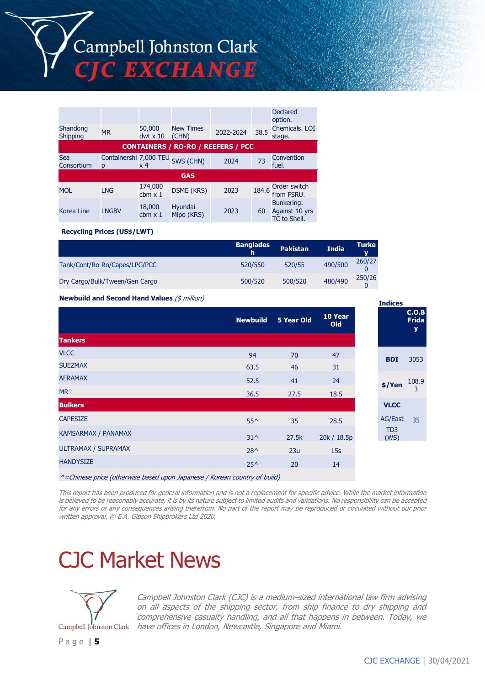

| Shandong          | <b>MR</b>                             | 50,000                    | <b>New Times</b>             | 2022-2024                                 | 38.5  | <b>Declared</b><br>option.<br>Chemicals, LOI |
|-------------------|---------------------------------------|---------------------------|------------------------------|-------------------------------------------|-------|----------------------------------------------|
| Shipping          |                                       | $dwt \times 10$           | (CHN)                        |                                           |       | stage.                                       |
|                   |                                       |                           |                              | <b>CONTAINERS / RO-RO / REEFERS / PCC</b> |       |                                              |
| Sea<br>Consortium | Containershi 7,000 TEU SWS (CHN)<br>D | x 4                       |                              | 2024                                      | 73    | Convention<br>fuel.                          |
|                   |                                       |                           | <b>GAS</b>                   |                                           |       |                                              |
| <b>MOL</b>        | <b>LNG</b>                            | 174,000<br>$cbm \times 1$ | <b>DSME (KRS)</b>            | 2023                                      | 184.6 | Order switch<br>from FSRU.                   |
| Korea Line        | <b>LNGBV</b>                          | 18,000<br>$cbm \times 1$  | <b>Hyundai</b><br>Mipo (KRS) | 2023                                      | 60    | Bunkering.<br>Against 10 yrs<br>TC to Shell. |

**Recycling Prices (US\$/LWT)**

|                                | <b>Banglades</b><br>h | <b>Pakistan</b> | <b>India</b> | Turke  |
|--------------------------------|-----------------------|-----------------|--------------|--------|
| Tank/Cont/Ro-Ro/Capes/LPG/PCC  | 520/550               | 520/55          | 490/500      | 260/27 |
| Dry Cargo/Bulk/Tween/Gen Cargo | 500/520               | 500/520         | 480/490      | 250/26 |

**Newbuild and Second Hand Values** (\$ million)

|                            | <b>Newbuild</b> | 5 Year Old | 10 Year<br>Old |
|----------------------------|-----------------|------------|----------------|
| <b>Tankers</b>             |                 |            |                |
| <b>VLCC</b>                | 94              | 70         | 47             |
| <b>SUEZMAX</b>             | 63.5            | 46         | 31             |
| <b>AFRAMAX</b>             | 52.5            | 41         | 24             |
| <b>MR</b>                  | 36.5            | 27.5       | 18.5           |
| <b>Bulkers</b>             |                 |            |                |
| <b>CAPESIZE</b>            | $55^{\wedge}$   | 35         | 28.5           |
| <b>KAMSARMAX / PANAMAX</b> | $31^{\circ}$    | 27.5k      | 20k / 18.5p    |
| ULTRAMAX / SUPRAMAX        | $28^{\wedge}$   | 23u        | 15s            |
| <b>HANDYSIZE</b>           | $25^{\wedge}$   | 20         | 14             |
|                            |                 |            |                |

 $^{\wedge}$  =Chinese price (otherwise based upon Japanese / Korean country of build)

This report has been produced for general information and is not a replacement for specific advice. While the market information is believed to be reasonably accurate, it is by its nature subject to limited audits and validations. No responsibility can be accepted for any errors or any consequences arising therefrom. No part of the report may be reproduced or circulated without our prior written approval. © E.A. Gibson Shipbrokers Ltd 2020.

# CJC Market News



Campbell Johnston Clark (CJC) is a medium-sized international law firm advising on all aspects of the shipping sector, from ship finance to dry shipping and comprehensive casualty handling, and all that happens in between. Today, we Campbell Johnston Clark have offices in London, Newcastle, Singapore and Miami.

**Indices**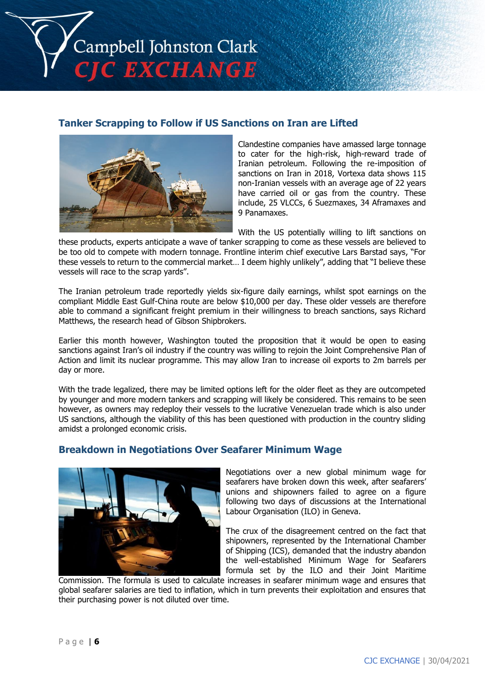

## **Tanker Scrapping to Follow if US Sanctions on Iran are Lifted**



Clandestine companies have amassed large tonnage to cater for the high-risk, high-reward trade of Iranian petroleum. Following the re-imposition of sanctions on Iran in 2018, Vortexa data shows 115 non-Iranian vessels with an average age of 22 years have carried oil or gas from the country. These include, 25 VLCCs, 6 Suezmaxes, 34 Aframaxes and 9 Panamaxes.

With the US potentially willing to lift sanctions on

these products, experts anticipate a wave of tanker scrapping to come as these vessels are believed to be too old to compete with modern tonnage. Frontline interim chief executive Lars Barstad says, "For these vessels to return to the commercial market… I deem highly unlikely", adding that "I believe these vessels will race to the scrap yards".

The Iranian petroleum trade reportedly yields six-figure daily earnings, whilst spot earnings on the compliant Middle East Gulf-China route are below \$10,000 per day. These older vessels are therefore able to command a significant freight premium in their willingness to breach sanctions, says Richard Matthews, the research head of Gibson Shipbrokers.

Earlier this month however, Washington touted the proposition that it would be open to easing sanctions against Iran's oil industry if the country was willing to rejoin the Joint Comprehensive Plan of Action and limit its nuclear programme. This may allow Iran to increase oil exports to 2m barrels per day or more.

With the trade legalized, there may be limited options left for the older fleet as they are outcompeted by younger and more modern tankers and scrapping will likely be considered. This remains to be seen however, as owners may redeploy their vessels to the lucrative Venezuelan trade which is also under US sanctions, although the viability of this has been questioned with production in the country sliding amidst a prolonged economic crisis.

### **Breakdown in Negotiations Over Seafarer Minimum Wage**



Negotiations over a new global minimum wage for seafarers have broken down this week, after seafarers' unions and shipowners failed to agree on a figure following two days of discussions at the International Labour Organisation (ILO) in Geneva.

The crux of the disagreement centred on the fact that shipowners, represented by the International Chamber of Shipping (ICS), demanded that the industry abandon the well-established Minimum Wage for Seafarers formula set by the ILO and their Joint Maritime

Commission. The formula is used to calculate increases in seafarer minimum wage and ensures that global seafarer salaries are tied to inflation, which in turn prevents their exploitation and ensures that their purchasing power is not diluted over time.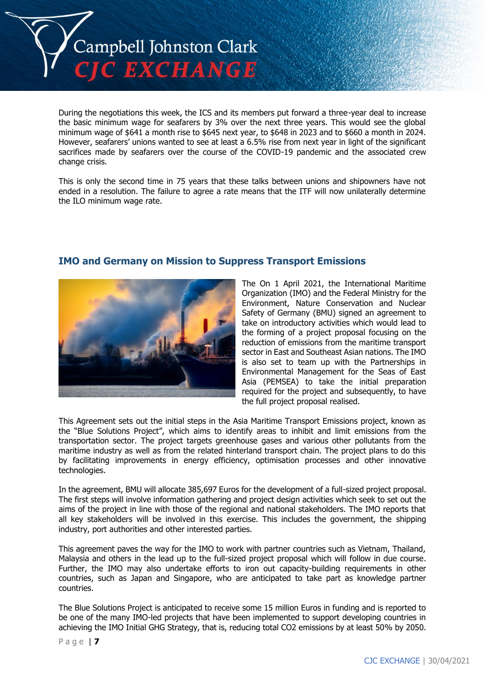

During the negotiations this week, the ICS and its members put forward a three-year deal to increase the basic minimum wage for seafarers by 3% over the next three years. This would see the global minimum wage of \$641 a month rise to \$645 next year, to \$648 in 2023 and to \$660 a month in 2024. However, seafarers' unions wanted to see at least a 6.5% rise from next year in light of the significant sacrifices made by seafarers over the course of the COVID-19 pandemic and the associated crew change crisis.

This is only the second time in 75 years that these talks between unions and shipowners have not ended in a resolution. The failure to agree a rate means that the ITF will now unilaterally determine the ILO minimum wage rate.



### **IMO and Germany on Mission to Suppress Transport Emissions**

The On 1 April 2021, the International Maritime Organization (IMO) and the Federal Ministry for the Environment, Nature Conservation and Nuclear Safety of Germany (BMU) signed an agreement to take on introductory activities which would lead to the forming of a project proposal focusing on the reduction of emissions from the maritime transport sector in East and Southeast Asian nations. The IMO is also set to team up with the Partnerships in Environmental Management for the Seas of East Asia (PEMSEA) to take the initial preparation required for the project and subsequently, to have the full project proposal realised.

This Agreement sets out the initial steps in the Asia Maritime Transport Emissions project, known as the "Blue Solutions Project", which aims to identify areas to inhibit and limit emissions from the transportation sector. The project targets greenhouse gases and various other pollutants from the maritime industry as well as from the related hinterland transport chain. The project plans to do this by facilitating improvements in energy efficiency, optimisation processes and other innovative technologies.

In the agreement, BMU will allocate 385,697 Euros for the development of a full-sized project proposal. The first steps will involve information gathering and project design activities which seek to set out the aims of the project in line with those of the regional and national stakeholders. The IMO reports that all key stakeholders will be involved in this exercise. This includes the government, the shipping industry, port authorities and other interested parties.

This agreement paves the way for the IMO to work with partner countries such as Vietnam, Thailand, Malaysia and others in the lead up to the full-sized project proposal which will follow in due course. Further, the IMO may also undertake efforts to iron out capacity-building requirements in other countries, such as Japan and Singapore, who are anticipated to take part as knowledge partner countries.

The Blue Solutions Project is anticipated to receive some 15 million Euros in funding and is reported to be one of the many IMO-led projects that have been implemented to support developing countries in achieving the IMO Initial GHG Strategy, that is, reducing total CO2 emissions by at least 50% by 2050.